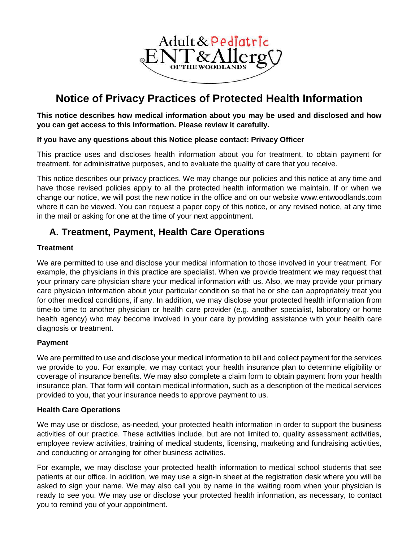

# **Notice of Privacy Practices of Protected Health Information**

**This notice describes how medical information about you may be used and disclosed and how you can get access to this information. Please review it carefully.** 

#### **If you have any questions about this Notice please contact: Privacy Officer**

This practice uses and discloses health information about you for treatment, to obtain payment for treatment, for administrative purposes, and to evaluate the quality of care that you receive.

This notice describes our privacy practices. We may change our policies and this notice at any time and have those revised policies apply to all the protected health information we maintain. If or when we change our notice, we will post the new notice in the office and on our website www.entwoodlands.com where it can be viewed. You can request a paper copy of this notice, or any revised notice, at any time in the mail or asking for one at the time of your next appointment.

## **A. Treatment, Payment, Health Care Operations**

#### **Treatment**

We are permitted to use and disclose your medical information to those involved in your treatment. For example, the physicians in this practice are specialist. When we provide treatment we may request that your primary care physician share your medical information with us. Also, we may provide your primary care physician information about your particular condition so that he or she can appropriately treat you for other medical conditions, if any. In addition, we may disclose your protected health information from time-to time to another physician or health care provider (e.g. another specialist, laboratory or home health agency) who may become involved in your care by providing assistance with your health care diagnosis or treatment.

#### **Payment**

We are permitted to use and disclose your medical information to bill and collect payment for the services we provide to you. For example, we may contact your health insurance plan to determine eligibility or coverage of insurance benefits. We may also complete a claim form to obtain payment from your health insurance plan. That form will contain medical information, such as a description of the medical services provided to you, that your insurance needs to approve payment to us.

#### **Health Care Operations**

We may use or disclose, as-needed, your protected health information in order to support the business activities of our practice. These activities include, but are not limited to, quality assessment activities, employee review activities, training of medical students, licensing, marketing and fundraising activities, and conducting or arranging for other business activities.

For example, we may disclose your protected health information to medical school students that see patients at our office. In addition, we may use a sign-in sheet at the registration desk where you will be asked to sign your name. We may also call you by name in the waiting room when your physician is ready to see you. We may use or disclose your protected health information, as necessary, to contact you to remind you of your appointment.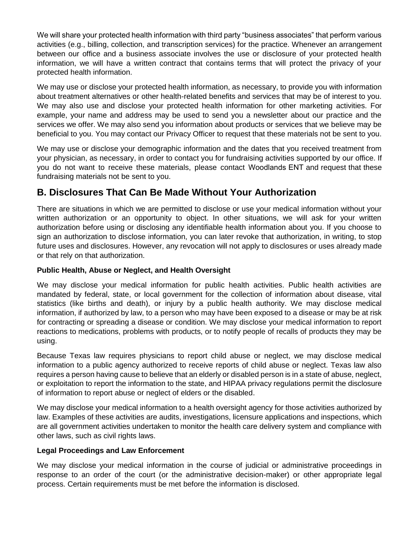We will share your protected health information with third party "business associates" that perform various activities (e.g., billing, collection, and transcription services) for the practice. Whenever an arrangement between our office and a business associate involves the use or disclosure of your protected health information, we will have a written contract that contains terms that will protect the privacy of your protected health information.

We may use or disclose your protected health information, as necessary, to provide you with information about treatment alternatives or other health-related benefits and services that may be of interest to you. We may also use and disclose your protected health information for other marketing activities. For example, your name and address may be used to send you a newsletter about our practice and the services we offer. We may also send you information about products or services that we believe may be beneficial to you. You may contact our Privacy Officer to request that these materials not be sent to you.

We may use or disclose your demographic information and the dates that you received treatment from your physician, as necessary, in order to contact you for fundraising activities supported by our office. If you do not want to receive these materials, please contact Woodlands ENT and request that these fundraising materials not be sent to you.

# **B. Disclosures That Can Be Made Without Your Authorization**

There are situations in which we are permitted to disclose or use your medical information without your written authorization or an opportunity to object. In other situations, we will ask for your written authorization before using or disclosing any identifiable health information about you. If you choose to sign an authorization to disclose information, you can later revoke that authorization, in writing, to stop future uses and disclosures. However, any revocation will not apply to disclosures or uses already made or that rely on that authorization.

#### **Public Health, Abuse or Neglect, and Health Oversight**

We may disclose your medical information for public health activities. Public health activities are mandated by federal, state, or local government for the collection of information about disease, vital statistics (like births and death), or injury by a public health authority. We may disclose medical information, if authorized by law, to a person who may have been exposed to a disease or may be at risk for contracting or spreading a disease or condition. We may disclose your medical information to report reactions to medications, problems with products, or to notify people of recalls of products they may be using.

Because Texas law requires physicians to report child abuse or neglect, we may disclose medical information to a public agency authorized to receive reports of child abuse or neglect. Texas law also requires a person having cause to believe that an elderly or disabled person is in a state of abuse, neglect, or exploitation to report the information to the state, and HIPAA privacy regulations permit the disclosure of information to report abuse or neglect of elders or the disabled.

We may disclose your medical information to a health oversight agency for those activities authorized by law. Examples of these activities are audits, investigations, licensure applications and inspections, which are all government activities undertaken to monitor the health care delivery system and compliance with other laws, such as civil rights laws.

#### **Legal Proceedings and Law Enforcement**

We may disclose your medical information in the course of judicial or administrative proceedings in response to an order of the court (or the administrative decision-maker) or other appropriate legal process. Certain requirements must be met before the information is disclosed.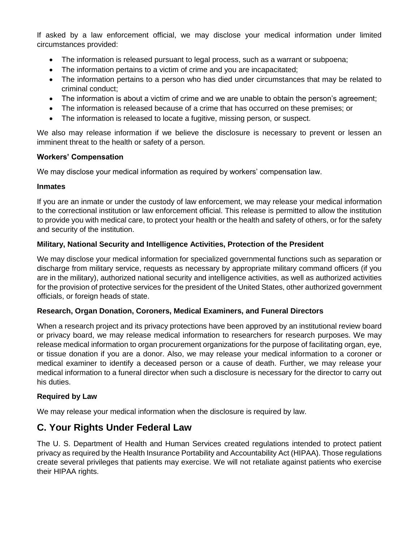If asked by a law enforcement official, we may disclose your medical information under limited circumstances provided:

- The information is released pursuant to legal process, such as a warrant or subpoena;
- The information pertains to a victim of crime and you are incapacitated;
- The information pertains to a person who has died under circumstances that may be related to criminal conduct;
- The information is about a victim of crime and we are unable to obtain the person's agreement;
- The information is released because of a crime that has occurred on these premises; or
- The information is released to locate a fugitive, missing person, or suspect.

We also may release information if we believe the disclosure is necessary to prevent or lessen an imminent threat to the health or safety of a person.

#### **Workers' Compensation**

We may disclose your medical information as required by workers' compensation law.

#### **Inmates**

If you are an inmate or under the custody of law enforcement, we may release your medical information to the correctional institution or law enforcement official. This release is permitted to allow the institution to provide you with medical care, to protect your health or the health and safety of others, or for the safety and security of the institution.

#### **Military, National Security and Intelligence Activities, Protection of the President**

We may disclose your medical information for specialized governmental functions such as separation or discharge from military service, requests as necessary by appropriate military command officers (if you are in the military), authorized national security and intelligence activities, as well as authorized activities for the provision of protective services for the president of the United States, other authorized government officials, or foreign heads of state.

#### **Research, Organ Donation, Coroners, Medical Examiners, and Funeral Directors**

When a research project and its privacy protections have been approved by an institutional review board or privacy board, we may release medical information to researchers for research purposes. We may release medical information to organ procurement organizations for the purpose of facilitating organ, eye, or tissue donation if you are a donor. Also, we may release your medical information to a coroner or medical examiner to identify a deceased person or a cause of death. Further, we may release your medical information to a funeral director when such a disclosure is necessary for the director to carry out his duties.

#### **Required by Law**

We may release your medical information when the disclosure is required by law.

### **C. Your Rights Under Federal Law**

The U. S. Department of Health and Human Services created regulations intended to protect patient privacy as required by the Health Insurance Portability and Accountability Act (HIPAA). Those regulations create several privileges that patients may exercise. We will not retaliate against patients who exercise their HIPAA rights.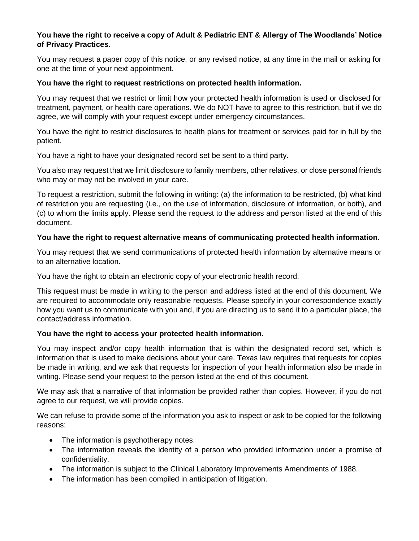#### **You have the right to receive a copy of Adult & Pediatric ENT & Allergy of The Woodlands' Notice of Privacy Practices.**

You may request a paper copy of this notice, or any revised notice, at any time in the mail or asking for one at the time of your next appointment.

#### **You have the right to request restrictions on protected health information.**

You may request that we restrict or limit how your protected health information is used or disclosed for treatment, payment, or health care operations. We do NOT have to agree to this restriction, but if we do agree, we will comply with your request except under emergency circumstances.

You have the right to restrict disclosures to health plans for treatment or services paid for in full by the patient.

You have a right to have your designated record set be sent to a third party.

You also may request that we limit disclosure to family members, other relatives, or close personal friends who may or may not be involved in your care.

To request a restriction, submit the following in writing: (a) the information to be restricted, (b) what kind of restriction you are requesting (i.e., on the use of information, disclosure of information, or both), and (c) to whom the limits apply. Please send the request to the address and person listed at the end of this document.

#### **You have the right to request alternative means of communicating protected health information.**

You may request that we send communications of protected health information by alternative means or to an alternative location.

You have the right to obtain an electronic copy of your electronic health record.

This request must be made in writing to the person and address listed at the end of this document. We are required to accommodate only reasonable requests. Please specify in your correspondence exactly how you want us to communicate with you and, if you are directing us to send it to a particular place, the contact/address information.

#### **You have the right to access your protected health information.**

You may inspect and/or copy health information that is within the designated record set, which is information that is used to make decisions about your care. Texas law requires that requests for copies be made in writing, and we ask that requests for inspection of your health information also be made in writing. Please send your request to the person listed at the end of this document.

We may ask that a narrative of that information be provided rather than copies. However, if you do not agree to our request, we will provide copies.

We can refuse to provide some of the information you ask to inspect or ask to be copied for the following reasons:

- The information is psychotherapy notes.
- The information reveals the identity of a person who provided information under a promise of confidentiality.
- The information is subject to the Clinical Laboratory Improvements Amendments of 1988.
- The information has been compiled in anticipation of litigation.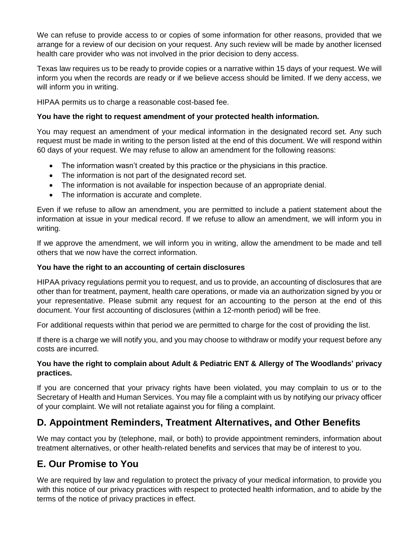We can refuse to provide access to or copies of some information for other reasons, provided that we arrange for a review of our decision on your request. Any such review will be made by another licensed health care provider who was not involved in the prior decision to deny access.

Texas law requires us to be ready to provide copies or a narrative within 15 days of your request. We will inform you when the records are ready or if we believe access should be limited. If we deny access, we will inform you in writing.

HIPAA permits us to charge a reasonable cost-based fee.

#### **You have the right to request amendment of your protected health information.**

You may request an amendment of your medical information in the designated record set. Any such request must be made in writing to the person listed at the end of this document. We will respond within 60 days of your request. We may refuse to allow an amendment for the following reasons:

- The information wasn't created by this practice or the physicians in this practice.
- The information is not part of the designated record set.
- The information is not available for inspection because of an appropriate denial.
- The information is accurate and complete.

Even if we refuse to allow an amendment, you are permitted to include a patient statement about the information at issue in your medical record. If we refuse to allow an amendment, we will inform you in writing.

If we approve the amendment, we will inform you in writing, allow the amendment to be made and tell others that we now have the correct information.

#### **You have the right to an accounting of certain disclosures**

HIPAA privacy regulations permit you to request, and us to provide, an accounting of disclosures that are other than for treatment, payment, health care operations, or made via an authorization signed by you or your representative. Please submit any request for an accounting to the person at the end of this document. Your first accounting of disclosures (within a 12-month period) will be free.

For additional requests within that period we are permitted to charge for the cost of providing the list.

If there is a charge we will notify you, and you may choose to withdraw or modify your request before any costs are incurred.

#### **You have the right to complain about Adult & Pediatric ENT & Allergy of The Woodlands' privacy practices.**

If you are concerned that your privacy rights have been violated, you may complain to us or to the Secretary of Health and Human Services. You may file a complaint with us by notifying our privacy officer of your complaint. We will not retaliate against you for filing a complaint.

# **D. Appointment Reminders, Treatment Alternatives, and Other Benefits**

We may contact you by (telephone, mail, or both) to provide appointment reminders, information about treatment alternatives, or other health-related benefits and services that may be of interest to you.

### **E. Our Promise to You**

We are required by law and regulation to protect the privacy of your medical information, to provide you with this notice of our privacy practices with respect to protected health information, and to abide by the terms of the notice of privacy practices in effect.